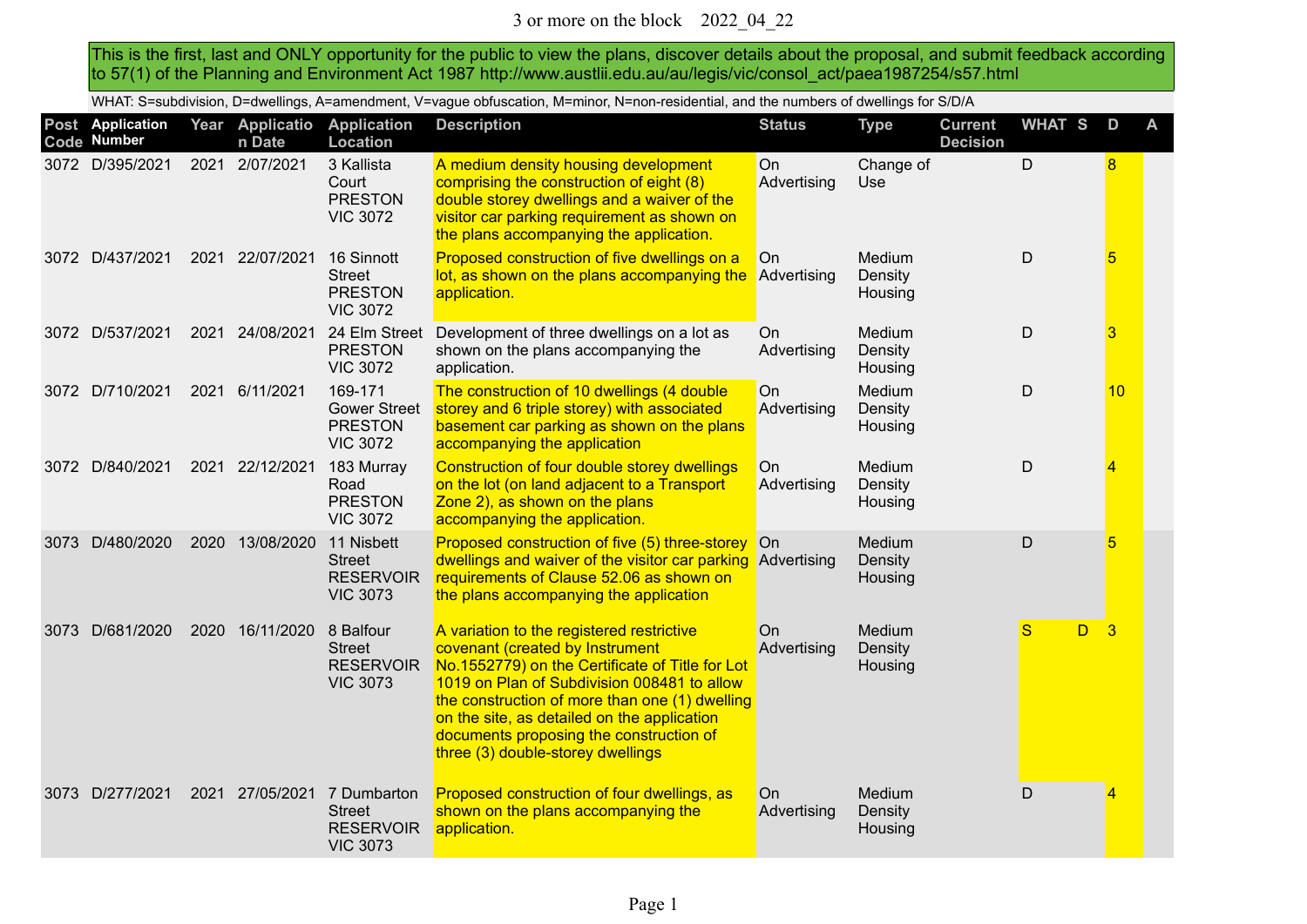This is the first, last and ONLY opportunity for the public to view the plans, discover details about the proposal, and submit feedback according to 57(1) of the Planning and Environment Act 1987 http://www.austlii.edu.au/au/legis/vic/consol\_act/paea1987254/s57.html

WHAT: S=subdivision, D=dwellings, A=amendment, V=vague obfuscation, M=minor, N=non-residential, and the numbers of dwellings for S/D/A

|      | Post Application<br>Code Number |      | Year Applicatio<br>n Date | <b>Application</b><br>Location                                      | <b>Description</b>                                                                                                                                                                                                                                                                                                                                              | <b>Status</b>            | <b>Type</b>                  | <b>Current</b><br><b>Decision</b> | <b>WHAT S</b> | D              | A |
|------|---------------------------------|------|---------------------------|---------------------------------------------------------------------|-----------------------------------------------------------------------------------------------------------------------------------------------------------------------------------------------------------------------------------------------------------------------------------------------------------------------------------------------------------------|--------------------------|------------------------------|-----------------------------------|---------------|----------------|---|
|      | 3072 D/395/2021                 |      | 2021 2/07/2021            | 3 Kallista<br>Court<br><b>PRESTON</b><br><b>VIC 3072</b>            | A medium density housing development<br>comprising the construction of eight (8)<br>double storey dwellings and a waiver of the<br>visitor car parking requirement as shown on<br>the plans accompanying the application.                                                                                                                                       | <b>On</b><br>Advertising | Change of<br>Use.            |                                   | D             | 8              |   |
|      | 3072 D/437/2021                 |      | 2021 22/07/2021           | 16 Sinnott<br><b>Street</b><br><b>PRESTON</b><br><b>VIC 3072</b>    | Proposed construction of five dwellings on a<br>lot, as shown on the plans accompanying the<br>application.                                                                                                                                                                                                                                                     | On<br>Advertising        | Medium<br>Density<br>Housing |                                   | D             | 5              |   |
|      | 3072 D/537/2021                 | 2021 | 24/08/2021                | 24 Elm Street<br><b>PRESTON</b><br><b>VIC 3072</b>                  | Development of three dwellings on a lot as<br>shown on the plans accompanying the<br>application.                                                                                                                                                                                                                                                               | On<br>Advertising        | Medium<br>Density<br>Housing |                                   | $\mathsf D$   | 3              |   |
|      | 3072 D/710/2021                 | 2021 | 6/11/2021                 | 169-171<br><b>Gower Street</b><br><b>PRESTON</b><br><b>VIC 3072</b> | The construction of 10 dwellings (4 double<br>storey and 6 triple storey) with associated<br>basement car parking as shown on the plans<br>accompanying the application                                                                                                                                                                                         | On<br>Advertising        | Medium<br>Density<br>Housing |                                   | D             | 10             |   |
|      | 3072 D/840/2021                 |      | 2021 22/12/2021           | 183 Murray<br>Road<br><b>PRESTON</b><br><b>VIC 3072</b>             | Construction of four double storey dwellings<br>on the lot (on land adjacent to a Transport<br>Zone 2), as shown on the plans<br>accompanying the application.                                                                                                                                                                                                  | On<br>Advertising        | Medium<br>Density<br>Housing |                                   | D             | $\overline{4}$ |   |
| 3073 | D/480/2020                      | 2020 | 13/08/2020                | 11 Nisbett<br><b>Street</b><br><b>RESERVOIR</b><br><b>VIC 3073</b>  | Proposed construction of five (5) three-storey On<br>dwellings and waiver of the visitor car parking<br>requirements of Clause 52.06 as shown on<br>the plans accompanying the application                                                                                                                                                                      | Advertising              | Medium<br>Density<br>Housing |                                   | $\mathsf D$   | 5              |   |
| 3073 | D/681/2020                      | 2020 | 16/11/2020                | 8 Balfour<br><b>Street</b><br><b>RESERVOIR</b><br><b>VIC 3073</b>   | A variation to the registered restrictive<br>covenant (created by Instrument<br>No.1552779) on the Certificate of Title for Lot<br>1019 on Plan of Subdivision 008481 to allow<br>the construction of more than one (1) dwelling<br>on the site, as detailed on the application<br>documents proposing the construction of<br>three (3) double-storey dwellings | On<br>Advertising        | Medium<br>Density<br>Housing |                                   | S<br>D.       | $\overline{3}$ |   |
|      | 3073 D/277/2021                 | 2021 | 27/05/2021                | 7 Dumbarton<br><b>Street</b><br><b>RESERVOIR</b><br><b>VIC 3073</b> | Proposed construction of four dwellings, as<br>shown on the plans accompanying the<br>application.                                                                                                                                                                                                                                                              | On<br>Advertising        | Medium<br>Density<br>Housing |                                   | D             | 4              |   |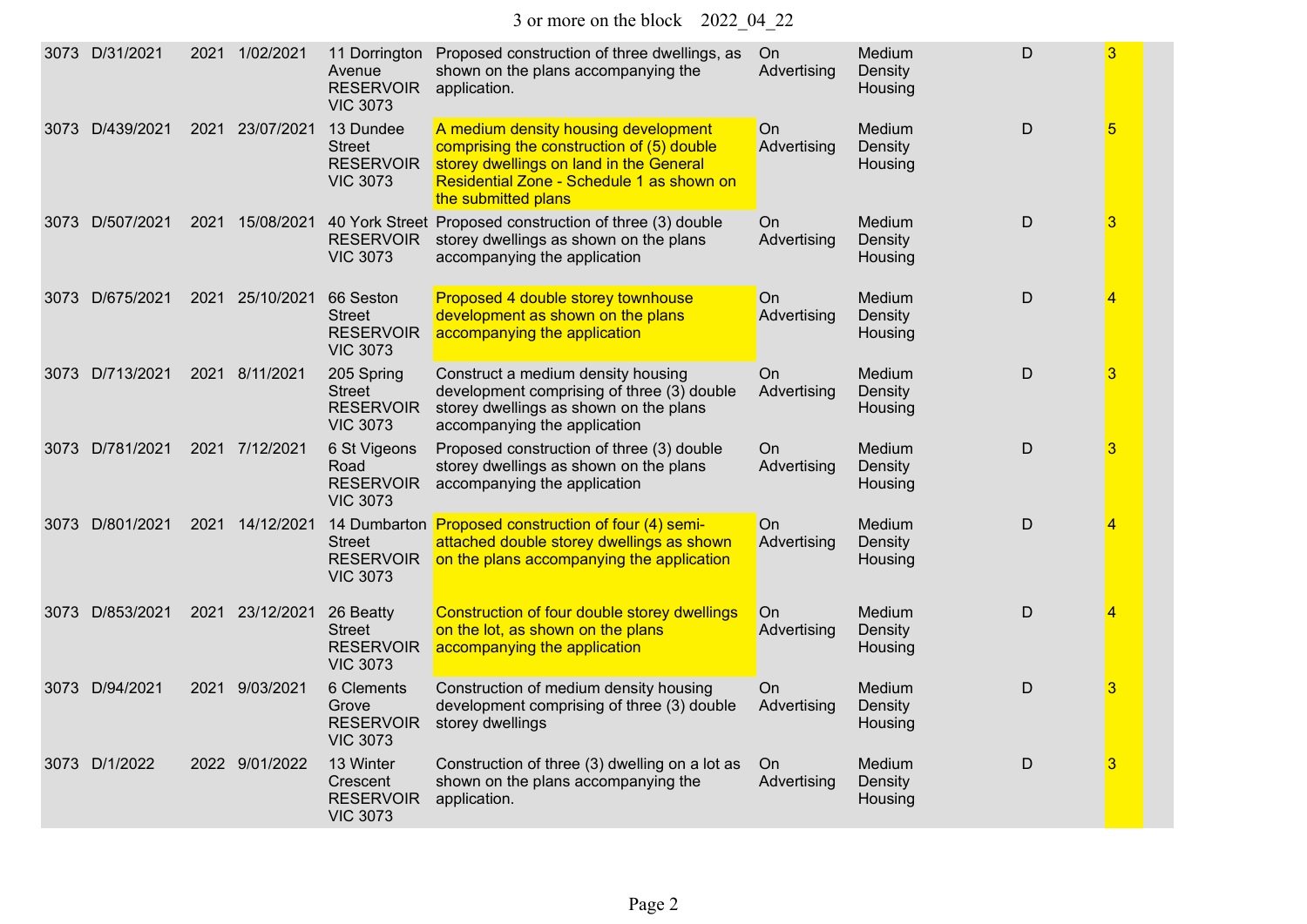| 3073 D/31/2021  | 2021 1/02/2021     | 11 Dorrington<br>Avenue<br><b>RESERVOIR</b><br><b>VIC 3073</b> | Proposed construction of three dwellings, as<br>shown on the plans accompanying the<br>application.                                                                                              | On<br>Advertising | Medium<br>Density<br>Housing | $\mathsf{D}$ | 3 |
|-----------------|--------------------|----------------------------------------------------------------|--------------------------------------------------------------------------------------------------------------------------------------------------------------------------------------------------|-------------------|------------------------------|--------------|---|
| 3073 D/439/2021 | 2021<br>23/07/2021 | 13 Dundee<br>Street<br><b>RESERVOIR</b><br><b>VIC 3073</b>     | A medium density housing development<br>comprising the construction of (5) double<br>storey dwellings on land in the General<br>Residential Zone - Schedule 1 as shown on<br>the submitted plans | On<br>Advertising | Medium<br>Density<br>Housing | $\mathsf D$  | 5 |
| 3073 D/507/2021 | 2021 15/08/2021    | <b>RESERVOIR</b><br><b>VIC 3073</b>                            | 40 York Street Proposed construction of three (3) double<br>storey dwellings as shown on the plans<br>accompanying the application                                                               | On<br>Advertising | Medium<br>Density<br>Housing | $\mathsf D$  | 3 |
| 3073 D/675/2021 | 2021<br>25/10/2021 | 66 Seston<br>Street<br><b>RESERVOIR</b><br><b>VIC 3073</b>     | Proposed 4 double storey townhouse<br>development as shown on the plans<br>accompanying the application                                                                                          | On<br>Advertising | Medium<br>Density<br>Housing | $\mathsf D$  | 4 |
| 3073 D/713/2021 | 2021 8/11/2021     | 205 Spring<br>Street<br><b>RESERVOIR</b><br><b>VIC 3073</b>    | Construct a medium density housing<br>development comprising of three (3) double<br>storey dwellings as shown on the plans<br>accompanying the application                                       | On<br>Advertising | Medium<br>Density<br>Housing | $\mathsf{D}$ | 3 |
| 3073 D/781/2021 | 2021 7/12/2021     | 6 St Vigeons<br>Road<br><b>RESERVOIR</b><br><b>VIC 3073</b>    | Proposed construction of three (3) double<br>storey dwellings as shown on the plans<br>accompanying the application                                                                              | On<br>Advertising | Medium<br>Density<br>Housing | $\mathsf{D}$ | 3 |
| 3073 D/801/2021 | 2021 14/12/2021    | <b>Street</b><br><b>RESERVOIR</b><br><b>VIC 3073</b>           | 14 Dumbarton Proposed construction of four (4) semi-<br>attached double storey dwellings as shown<br>on the plans accompanying the application                                                   | On<br>Advertising | Medium<br>Density<br>Housing | D            | 4 |
| 3073 D/853/2021 | 2021 23/12/2021    | 26 Beatty<br>Street<br><b>RESERVOIR</b><br><b>VIC 3073</b>     | Construction of four double storey dwellings<br>on the lot, as shown on the plans<br>accompanying the application                                                                                | On<br>Advertising | Medium<br>Density<br>Housing | $\mathsf D$  | 4 |
| 3073 D/94/2021  | 9/03/2021<br>2021  | 6 Clements<br>Grove<br><b>RESERVOIR</b><br><b>VIC 3073</b>     | Construction of medium density housing<br>development comprising of three (3) double<br>storey dwellings                                                                                         | On<br>Advertising | Medium<br>Density<br>Housing | D            | 3 |
| 3073 D/1/2022   | 2022 9/01/2022     | 13 Winter<br>Crescent<br><b>RESERVOIR</b><br><b>VIC 3073</b>   | Construction of three (3) dwelling on a lot as<br>shown on the plans accompanying the<br>application.                                                                                            | On<br>Advertising | Medium<br>Density<br>Housing | D            | 3 |